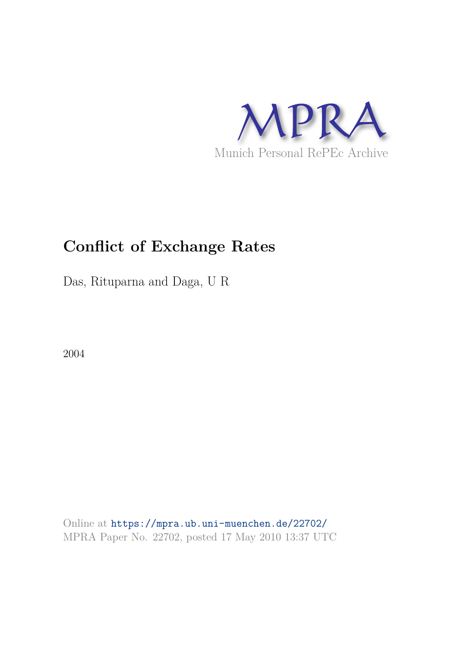

# **Conflict of Exchange Rates**

Das, Rituparna and Daga, U R

2004

Online at https://mpra.ub.uni-muenchen.de/22702/ MPRA Paper No. 22702, posted 17 May 2010 13:37 UTC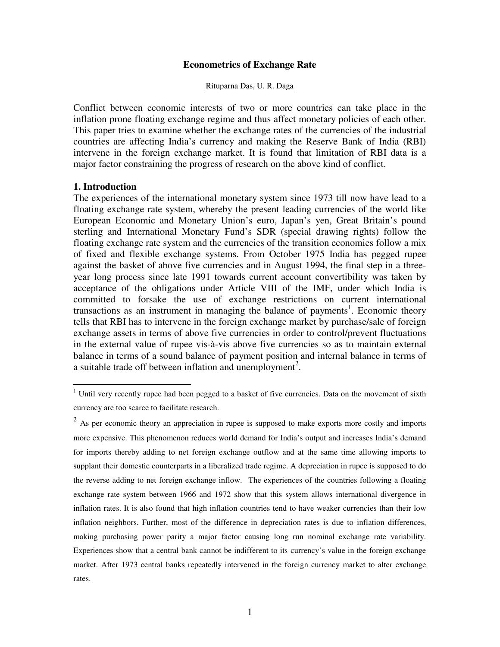## **Econometrics of Exchange Rate**

#### Rituparna Das, U. R. Daga

Conflict between economic interests of two or more countries can take place in the inflation prone floating exchange regime and thus affect monetary policies of each other. This paper tries to examine whether the exchange rates of the currencies of the industrial countries are affecting India's currency and making the Reserve Bank of India (RBI) intervene in the foreign exchange market. It is found that limitation of RBI data is a major factor constraining the progress of research on the above kind of conflict.

## **1. Introduction**

 $\overline{a}$ 

The experiences of the international monetary system since 1973 till now have lead to a floating exchange rate system, whereby the present leading currencies of the world like European Economic and Monetary Union's euro, Japan's yen, Great Britain's pound sterling and International Monetary Fund's SDR (special drawing rights) follow the floating exchange rate system and the currencies of the transition economies follow a mix of fixed and flexible exchange systems. From October 1975 India has pegged rupee against the basket of above five currencies and in August 1994, the final step in a threeyear long process since late 1991 towards current account convertibility was taken by acceptance of the obligations under Article VIII of the IMF, under which India is committed to forsake the use of exchange restrictions on current international transactions as an instrument in managing the balance of payments<sup>1</sup>. Economic theory tells that RBI has to intervene in the foreign exchange market by purchase/sale of foreign exchange assets in terms of above five currencies in order to control/prevent fluctuations in the external value of rupee vis-à-vis above five currencies so as to maintain external balance in terms of a sound balance of payment position and internal balance in terms of a suitable trade off between inflation and unemployment<sup>2</sup>.

<sup>&</sup>lt;sup>1</sup> Until very recently rupee had been pegged to a basket of five currencies. Data on the movement of sixth currency are too scarce to facilitate research.

 $2^2$  As per economic theory an appreciation in rupee is supposed to make exports more costly and imports more expensive. This phenomenon reduces world demand for India's output and increases India's demand for imports thereby adding to net foreign exchange outflow and at the same time allowing imports to supplant their domestic counterparts in a liberalized trade regime. A depreciation in rupee is supposed to do the reverse adding to net foreign exchange inflow. The experiences of the countries following a floating exchange rate system between 1966 and 1972 show that this system allows international divergence in inflation rates. It is also found that high inflation countries tend to have weaker currencies than their low inflation neighbors. Further, most of the difference in depreciation rates is due to inflation differences, making purchasing power parity a major factor causing long run nominal exchange rate variability. Experiences show that a central bank cannot be indifferent to its currency's value in the foreign exchange market. After 1973 central banks repeatedly intervened in the foreign currency market to alter exchange rates.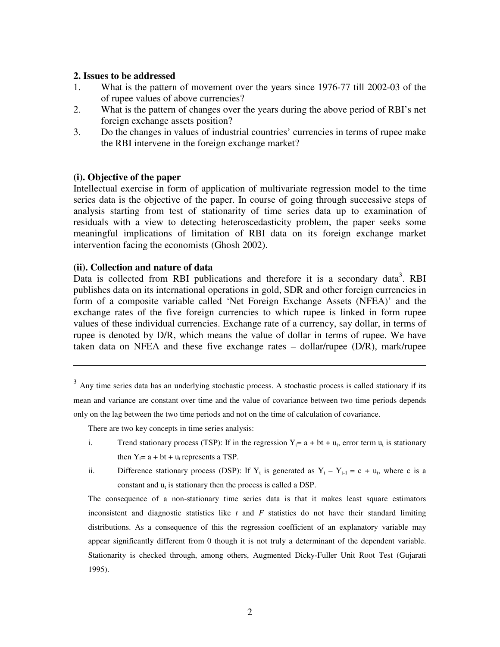## **2. Issues to be addressed**

- 1. What is the pattern of movement over the years since 1976-77 till 2002-03 of the of rupee values of above currencies?
- 2. What is the pattern of changes over the years during the above period of RBI's net foreign exchange assets position?
- 3. Do the changes in values of industrial countries' currencies in terms of rupee make the RBI intervene in the foreign exchange market?

## **(i). Objective of the paper**

Intellectual exercise in form of application of multivariate regression model to the time series data is the objective of the paper. In course of going through successive steps of analysis starting from test of stationarity of time series data up to examination of residuals with a view to detecting heteroscedasticity problem, the paper seeks some meaningful implications of limitation of RBI data on its foreign exchange market intervention facing the economists (Ghosh 2002).

## **(ii). Collection and nature of data**

 $\overline{a}$ 

Data is collected from RBI publications and therefore it is a secondary data<sup>3</sup>. RBI publishes data on its international operations in gold, SDR and other foreign currencies in form of a composite variable called 'Net Foreign Exchange Assets (NFEA)' and the exchange rates of the five foreign currencies to which rupee is linked in form rupee values of these individual currencies. Exchange rate of a currency, say dollar, in terms of rupee is denoted by D/R, which means the value of dollar in terms of rupee. We have taken data on NFEA and these five exchange rates – dollar/rupee (D/R), mark/rupee

 $3$  Any time series data has an underlying stochastic process. A stochastic process is called stationary if its mean and variance are constant over time and the value of covariance between two time periods depends only on the lag between the two time periods and not on the time of calculation of covariance.

There are two key concepts in time series analysis:

- i. Trend stationary process (TSP): If in the regression  $Y_t = a + bt + u_t$ , error term  $u_t$  is stationary then  $Y_t = a + bt + u_t$  represents a TSP.
- ii. Difference stationary process (DSP): If  $Y_t$  is generated as  $Y_t Y_{t-1} = c + u_t$ , where c is a constant and  $u_t$  is stationary then the process is called a DSP.

The consequence of a non-stationary time series data is that it makes least square estimators inconsistent and diagnostic statistics like *t* and *F* statistics do not have their standard limiting distributions. As a consequence of this the regression coefficient of an explanatory variable may appear significantly different from 0 though it is not truly a determinant of the dependent variable. Stationarity is checked through, among others, Augmented Dicky-Fuller Unit Root Test (Gujarati 1995).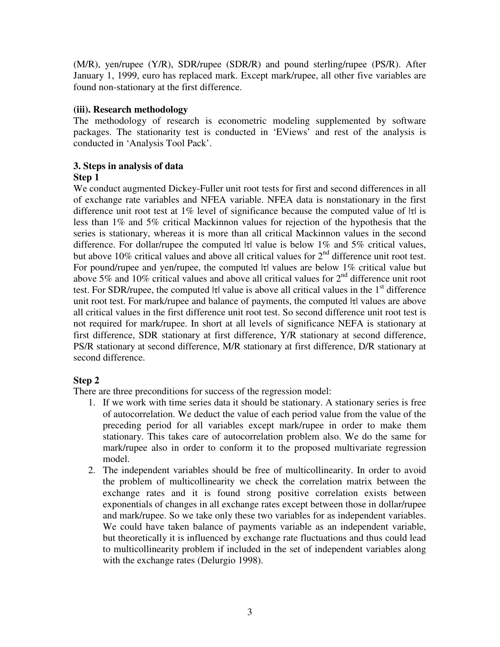(M/R), yen/rupee (Y/R), SDR/rupee (SDR/R) and pound sterling/rupee (PS/R). After January 1, 1999, euro has replaced mark. Except mark/rupee, all other five variables are found non-stationary at the first difference.

# **(iii). Research methodology**

The methodology of research is econometric modeling supplemented by software packages. The stationarity test is conducted in 'EViews' and rest of the analysis is conducted in 'Analysis Tool Pack'.

# **3. Steps in analysis of data**

# **Step 1**

We conduct augmented Dickey-Fuller unit root tests for first and second differences in all of exchange rate variables and NFEA variable. NFEA data is nonstationary in the first difference unit root test at 1% level of significance because the computed value of  $|\tau|$  is less than 1% and 5% critical Mackinnon values for rejection of the hypothesis that the series is stationary, whereas it is more than all critical Mackinnon values in the second difference. For dollar/rupee the computed  $|\tau|$  value is below 1% and 5% critical values, but above 10% critical values and above all critical values for  $2<sup>nd</sup>$  difference unit root test. For pound/rupee and yen/rupee, the computed |τ| values are below 1% critical value but above 5% and 10% critical values and above all critical values for  $2<sup>nd</sup>$  difference unit root test. For SDR/rupee, the computed  $|\tau|$  value is above all critical values in the 1<sup>st</sup> difference unit root test. For mark/rupee and balance of payments, the computed |τ| values are above all critical values in the first difference unit root test. So second difference unit root test is not required for mark/rupee. In short at all levels of significance NEFA is stationary at first difference, SDR stationary at first difference, Y/R stationary at second difference, PS/R stationary at second difference, M/R stationary at first difference, D/R stationary at second difference.

# **Step 2**

There are three preconditions for success of the regression model:

- 1. If we work with time series data it should be stationary. A stationary series is free of autocorrelation. We deduct the value of each period value from the value of the preceding period for all variables except mark/rupee in order to make them stationary. This takes care of autocorrelation problem also. We do the same for mark/rupee also in order to conform it to the proposed multivariate regression model.
- 2. The independent variables should be free of multicollinearity. In order to avoid the problem of multicollinearity we check the correlation matrix between the exchange rates and it is found strong positive correlation exists between exponentials of changes in all exchange rates except between those in dollar/rupee and mark/rupee. So we take only these two variables for as independent variables. We could have taken balance of payments variable as an independent variable, but theoretically it is influenced by exchange rate fluctuations and thus could lead to multicollinearity problem if included in the set of independent variables along with the exchange rates (Delurgio 1998).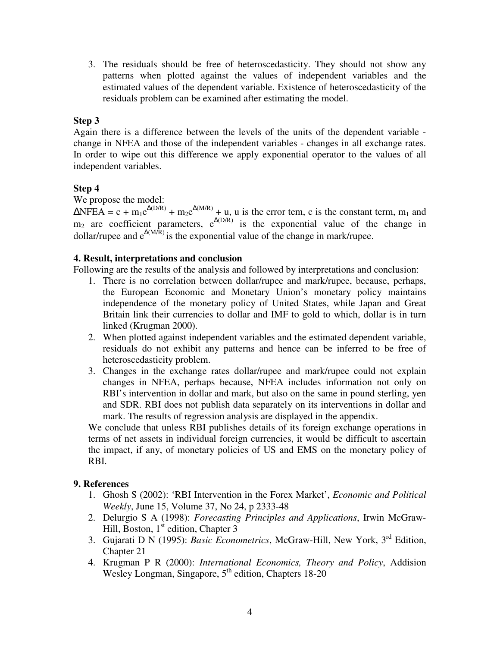3. The residuals should be free of heteroscedasticity. They should not show any patterns when plotted against the values of independent variables and the estimated values of the dependent variable. Existence of heteroscedasticity of the residuals problem can be examined after estimating the model.

# **Step 3**

Again there is a difference between the levels of the units of the dependent variable change in NFEA and those of the independent variables - changes in all exchange rates. In order to wipe out this difference we apply exponential operator to the values of all independent variables.

# **Step 4**

We propose the model:

 $\triangle$ NFEA = c + m<sub>1</sub>e<sup> $\triangle$ (D/R)</sup> + m<sub>2</sub>e<sup> $\triangle$ (M/R)</sup> + u, u is the error tem, c is the constant term, m<sub>1</sub> and  $m_2$  are coefficient parameters,  $e^{\Delta(D/R)}$  is the exponential value of the change in dollar/rupee and  $e^{\Delta(M/\bar{R})}$  is the exponential value of the change in mark/rupee.

# **4. Result, interpretations and conclusion**

Following are the results of the analysis and followed by interpretations and conclusion:

- 1. There is no correlation between dollar/rupee and mark/rupee, because, perhaps, the European Economic and Monetary Union's monetary policy maintains independence of the monetary policy of United States, while Japan and Great Britain link their currencies to dollar and IMF to gold to which, dollar is in turn linked (Krugman 2000).
- 2. When plotted against independent variables and the estimated dependent variable, residuals do not exhibit any patterns and hence can be inferred to be free of heteroscedasticity problem.
- 3. Changes in the exchange rates dollar/rupee and mark/rupee could not explain changes in NFEA, perhaps because, NFEA includes information not only on RBI's intervention in dollar and mark, but also on the same in pound sterling, yen and SDR. RBI does not publish data separately on its interventions in dollar and mark. The results of regression analysis are displayed in the appendix.

We conclude that unless RBI publishes details of its foreign exchange operations in terms of net assets in individual foreign currencies, it would be difficult to ascertain the impact, if any, of monetary policies of US and EMS on the monetary policy of RBI.

# **9. References**

- 1. Ghosh S (2002): 'RBI Intervention in the Forex Market', *Economic and Political Weekly*, June 15, Volume 37, No 24, p 2333-48
- 2. Delurgio S A (1998): *Forecasting Principles and Applications*, Irwin McGraw-Hill, Boston,  $1<sup>st</sup>$  edition, Chapter 3
- 3. Gujarati D N (1995): *Basic Econometrics*, McGraw-Hill, New York, 3rd Edition, Chapter 21
- 4. Krugman P R (2000): *International Economics, Theory and Policy*, Addision Wesley Longman, Singapore,  $5<sup>th</sup>$  edition, Chapters 18-20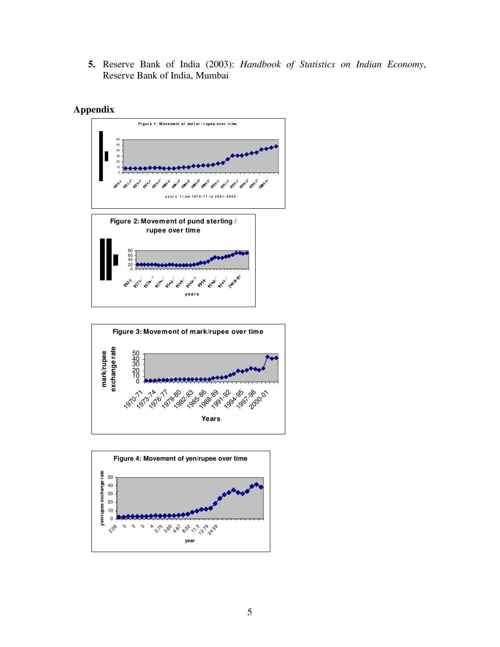**5.** Reserve Bank of India (2003): *Handbook of Statistics on Indian Economy*, Reserve Bank of India, Mumbai







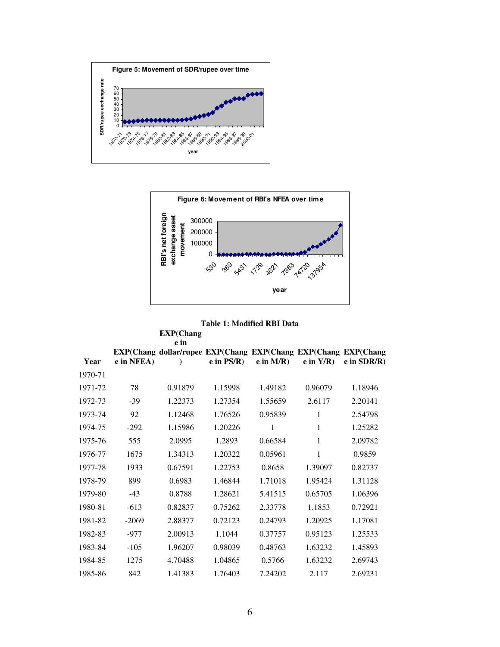



## **Table 1: Modified RBI Data**

|         |            | EXP(Chang)<br>e in                                             |              |             |                |               |
|---------|------------|----------------------------------------------------------------|--------------|-------------|----------------|---------------|
| Year    | e in NFEA) | EXP(Chang dollar/rupee EXP(Chang EXP(Chang EXP(Chang EXP(Chang | $e$ in PS/R) | $e$ in M/R) | $e$ in $Y/R$ ) | $e$ in SDR/R) |
| 1970-71 |            |                                                                |              |             |                |               |
| 1971-72 | 78         | 0.91879                                                        | 1.15998      | 1.49182     | 0.96079        | 1.18946       |
| 1972-73 | $-39$      | 1.22373                                                        | 1.27354      | 1.55659     | 2.6117         | 2.20141       |
| 1973-74 | 92         | 1.12468                                                        | 1.76526      | 0.95839     | 1              | 2.54798       |
| 1974-75 | $-292$     | 1.15986                                                        | 1.20226      | 1           | 1              | 1.25282       |
| 1975-76 | 555        | 2.0995                                                         | 1.2893       | 0.66584     | 1              | 2.09782       |
| 1976-77 | 1675       | 1.34313                                                        | 1.20322      | 0.05961     | 1              | 0.9859        |
| 1977-78 | 1933       | 0.67591                                                        | 1.22753      | 0.8658      | 1.39097        | 0.82737       |
| 1978-79 | 899        | 0.6983                                                         | 1.46844      | 1.71018     | 1.95424        | 1.31128       |
| 1979-80 | $-43$      | 0.8788                                                         | 1.28621      | 5.41515     | 0.65705        | 1.06396       |
| 1980-81 | $-613$     | 0.82837                                                        | 0.75262      | 2.33778     | 1.1853         | 0.72921       |
| 1981-82 | $-2069$    | 2.88377                                                        | 0.72123      | 0.24793     | 1.20925        | 1.17081       |
| 1982-83 | $-977$     | 2.00913                                                        | 1.1044       | 0.37757     | 0.95123        | 1.25533       |
| 1983-84 | $-105$     | 1.96207                                                        | 0.98039      | 0.48763     | 1.63232        | 1.45893       |
| 1984-85 | 1275       | 4.70488                                                        | 1.04865      | 0.5766      | 1.63232        | 2.69743       |
| 1985-86 | 842        | 1.41383                                                        | 1.76403      | 7.24202     | 2.117          | 2.69231       |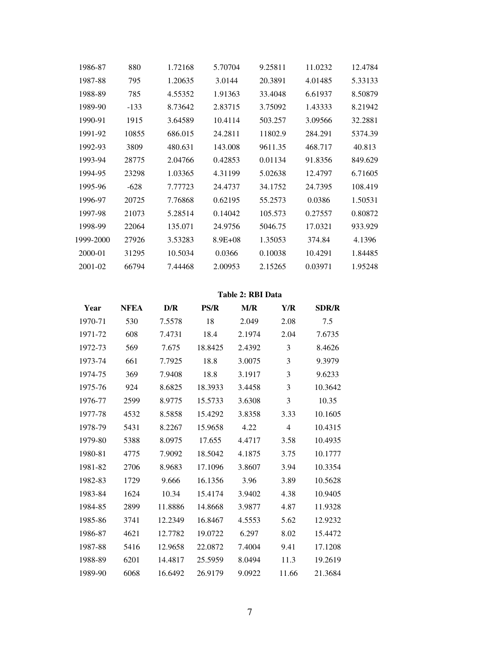| 1986-87   | 880    | 1.72168 | 5.70704     | 9.25811 | 11.0232 | 12.4784 |
|-----------|--------|---------|-------------|---------|---------|---------|
| 1987-88   | 795    | 1.20635 | 3.0144      | 20.3891 | 4.01485 | 5.33133 |
| 1988-89   | 785    | 4.55352 | 1.91363     | 33.4048 | 6.61937 | 8.50879 |
| 1989-90   | $-133$ | 8.73642 | 2.83715     | 3.75092 | 1.43333 | 8.21942 |
| 1990-91   | 1915   | 3.64589 | 10.4114     | 503.257 | 3.09566 | 32.2881 |
| 1991-92   | 10855  | 686.015 | 24.2811     | 11802.9 | 284.291 | 5374.39 |
| 1992-93   | 3809   | 480.631 | 143.008     | 9611.35 | 468.717 | 40.813  |
| 1993-94   | 28775  | 2.04766 | 0.42853     | 0.01134 | 91.8356 | 849.629 |
| 1994-95   | 23298  | 1.03365 | 4.31199     | 5.02638 | 12.4797 | 6.71605 |
| 1995-96   | $-628$ | 7.77723 | 24.4737     | 34.1752 | 24.7395 | 108.419 |
| 1996-97   | 20725  | 7.76868 | 0.62195     | 55.2573 | 0.0386  | 1.50531 |
| 1997-98   | 21073  | 5.28514 | 0.14042     | 105.573 | 0.27557 | 0.80872 |
| 1998-99   | 22064  | 135.071 | 24.9756     | 5046.75 | 17.0321 | 933.929 |
| 1999-2000 | 27926  | 3.53283 | $8.9E + 08$ | 1.35053 | 374.84  | 4.1396  |
| 2000-01   | 31295  | 10.5034 | 0.0366      | 0.10038 | 10.4291 | 1.84485 |
| 2001-02   | 66794  | 7.44468 | 2.00953     | 2.15265 | 0.03971 | 1.95248 |
|           |        |         |             |         |         |         |

## **Table 2: RBI Data**

| Year    | <b>NFEA</b> | D/R     | <b>PS/R</b> | M/R    | Y/R            | <b>SDR/R</b> |
|---------|-------------|---------|-------------|--------|----------------|--------------|
| 1970-71 | 530         | 7.5578  | 18          | 2.049  | 2.08           | 7.5          |
| 1971-72 | 608         | 7.4731  | 18.4        | 2.1974 | 2.04           | 7.6735       |
| 1972-73 | 569         | 7.675   | 18.8425     | 2.4392 | 3              | 8.4626       |
| 1973-74 | 661         | 7.7925  | 18.8        | 3.0075 | 3              | 9.3979       |
| 1974-75 | 369         | 7.9408  | 18.8        | 3.1917 | 3              | 9.6233       |
| 1975-76 | 924         | 8.6825  | 18.3933     | 3.4458 | 3              | 10.3642      |
| 1976-77 | 2599        | 8.9775  | 15.5733     | 3.6308 | 3              | 10.35        |
| 1977-78 | 4532        | 8.5858  | 15.4292     | 3.8358 | 3.33           | 10.1605      |
| 1978-79 | 5431        | 8.2267  | 15.9658     | 4.22   | $\overline{4}$ | 10.4315      |
| 1979-80 | 5388        | 8.0975  | 17.655      | 4.4717 | 3.58           | 10.4935      |
| 1980-81 | 4775        | 7.9092  | 18.5042     | 4.1875 | 3.75           | 10.1777      |
| 1981-82 | 2706        | 8.9683  | 17.1096     | 3.8607 | 3.94           | 10.3354      |
| 1982-83 | 1729        | 9.666   | 16.1356     | 3.96   | 3.89           | 10.5628      |
| 1983-84 | 1624        | 10.34   | 15.4174     | 3.9402 | 4.38           | 10.9405      |
| 1984-85 | 2899        | 11.8886 | 14.8668     | 3.9877 | 4.87           | 11.9328      |
| 1985-86 | 3741        | 12.2349 | 16.8467     | 4.5553 | 5.62           | 12.9232      |
| 1986-87 | 4621        | 12.7782 | 19.0722     | 6.297  | 8.02           | 15.4472      |
| 1987-88 | 5416        | 12.9658 | 22.0872     | 7.4004 | 9.41           | 17.1208      |
| 1988-89 | 6201        | 14.4817 | 25.5959     | 8.0494 | 11.3           | 19.2619      |
| 1989-90 | 6068        | 16.6492 | 26.9179     | 9.0922 | 11.66          | 21.3684      |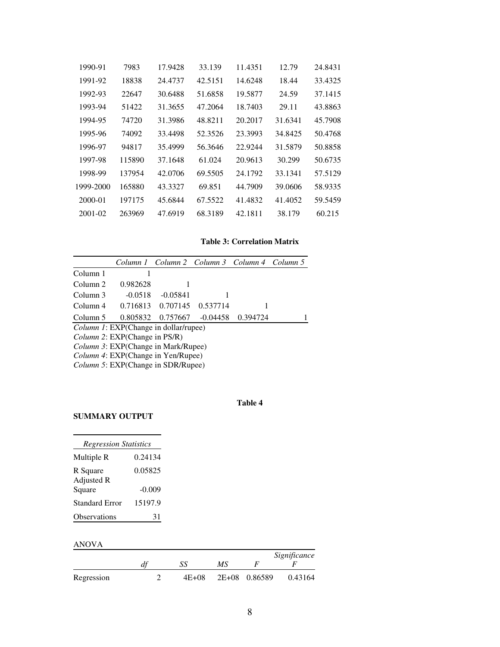| 1990-91   | 7983   | 17.9428 | 33.139  | 11.4351 | 12.79   | 24.8431 |
|-----------|--------|---------|---------|---------|---------|---------|
| 1991-92   | 18838  | 24.4737 | 42.5151 | 14.6248 | 18.44   | 33.4325 |
| 1992-93   | 22647  | 30.6488 | 51.6858 | 19.5877 | 24.59   | 37.1415 |
| 1993-94   | 51422  | 31.3655 | 47.2064 | 18.7403 | 29.11   | 43.8863 |
| 1994-95   | 74720  | 31.3986 | 48.8211 | 20.2017 | 31.6341 | 45.7908 |
| 1995-96   | 74092  | 33.4498 | 52.3526 | 23.3993 | 34.8425 | 50.4768 |
| 1996-97   | 94817  | 35.4999 | 56.3646 | 22.9244 | 31.5879 | 50.8858 |
| 1997-98   | 115890 | 37.1648 | 61.024  | 20.9613 | 30.299  | 50.6735 |
| 1998-99   | 137954 | 42.0706 | 69.5505 | 24.1792 | 33.1341 | 57.5129 |
| 1999-2000 | 165880 | 43.3327 | 69.851  | 44.7909 | 39.0606 | 58.9335 |
| 2000-01   | 197175 | 45.6844 | 67.5522 | 41.4832 | 41.4052 | 59.5459 |
| 2001-02   | 263969 | 47.6919 | 68.3189 | 42.1811 | 38.179  | 60.215  |
|           |        |         |         |         |         |         |

#### **Table 3: Correlation Matrix**

|                                            |                                              |            | Column 1 Column 2 Column 3 Column 4 Column 5 |          |  |  |  |
|--------------------------------------------|----------------------------------------------|------------|----------------------------------------------|----------|--|--|--|
| Column 1                                   |                                              |            |                                              |          |  |  |  |
| Column <sub>2</sub>                        | 0.982628                                     | ı          |                                              |          |  |  |  |
| Column 3                                   | $-0.0518$                                    | $-0.05841$ |                                              |          |  |  |  |
| Column 4                                   | 0.716813                                     |            | 0.707145 0.537714                            |          |  |  |  |
| Column 5                                   | 0.805832                                     | 0.757667   | $-0.04458$                                   | 0.394724 |  |  |  |
|                                            | <i>Column 1:</i> EXP(Change in dollar/rupee) |            |                                              |          |  |  |  |
|                                            | <i>Column 2:</i> EXP(Change in PS/R)         |            |                                              |          |  |  |  |
| <i>Column 3:</i> EXP(Change in Mark/Rupee) |                                              |            |                                              |          |  |  |  |
| <i>Column 4</i> : EXP(Change in Yen/Rupee) |                                              |            |                                              |          |  |  |  |
| <i>Column 5:</i> EXP(Change in SDR/Rupee)  |                                              |            |                                              |          |  |  |  |

## **Table 4**

# **SUMMARY OUTPUT**

| <b>Regression Statistics</b> |          |
|------------------------------|----------|
| Multiple R                   | 0.24134  |
| R Square<br>Adjusted R       | 0.05825  |
| Square                       | $-0.009$ |
| <b>Standard Error</b>        | 15197.9  |
| Observations                 | 31       |

## ANOVA

|            |    |           |    |               | Significance |
|------------|----|-----------|----|---------------|--------------|
|            | u. |           | МS |               |              |
| Regression |    | $4E + 08$ |    | 2E+08 0.86589 | 0.43164      |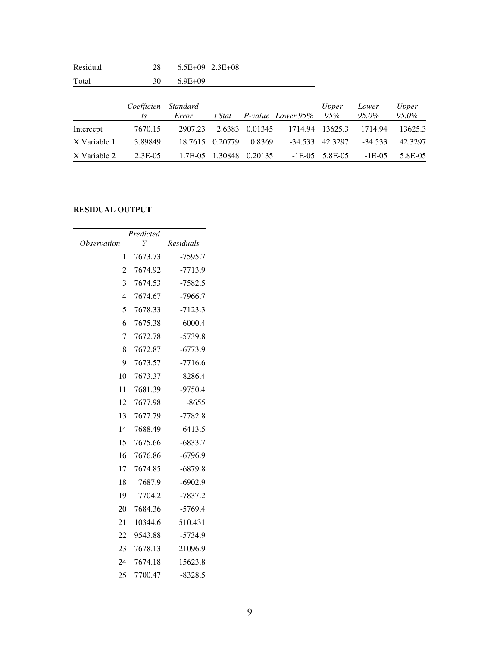| Residual     | 28                        |                   | $6.5E+09$ $2.3E+08$ |         |                   |              |                |                |
|--------------|---------------------------|-------------------|---------------------|---------|-------------------|--------------|----------------|----------------|
| Total        | 30                        | $6.9E + 09$       |                     |         |                   |              |                |                |
|              |                           |                   |                     |         |                   |              |                |                |
|              | Coefficien<br>$\sqrt{1}S$ | Standard<br>Error | t Stat              |         | P-value Lower 95% | Upper<br>95% | Lower<br>95.0% | Upper<br>95.0% |
| Intercept    | 7670.15                   | 2907.23           | 2.6383              | 0.01345 | 1714.94           | 13625.3      | 1714.94        | 13625.3        |
| X Variable 1 | 3.89849                   | 18.7615           | 0.20779             | 0.8369  | $-34.533$         | 42.3297      | $-34.533$      | 42.3297        |
| X Variable 2 | $2.3E-0.5$                | 1.7E-05           | 1.30848             | 0.20135 | $-1E-05$          | 5.8E-05      | $-1E-05$       | 5.8E-05        |

# **RESIDUAL OUTPUT**

|                    | Predicted |           |
|--------------------|-----------|-----------|
| <i>Observation</i> | Y         | Residuals |
| 1                  | 7673.73   | $-7595.7$ |
| 2                  | 7674.92   | $-7713.9$ |
| 3                  | 7674.53   | $-7582.5$ |
| 4                  | 7674.67   | $-7966.7$ |
| 5                  | 7678.33   | $-7123.3$ |
| 6                  | 7675.38   | $-6000.4$ |
| 7                  | 7672.78   | $-5739.8$ |
| 8                  | 7672.87   | $-6773.9$ |
| 9                  | 7673.57   | -7716.6   |
| 10                 | 7673.37   | $-8286.4$ |
| 11                 | 7681.39   | $-9750.4$ |
| 12                 | 7677.98   | $-8655$   |
| 13                 | 7677.79   | $-7782.8$ |
| 14                 | 7688.49   | $-6413.5$ |
| 15                 | 7675.66   | $-6833.7$ |
| 16                 | 7676.86   | $-6796.9$ |
| 17                 | 7674.85   | $-6879.8$ |
| 18                 | 7687.9    | $-6902.9$ |
| 19                 | 7704.2    | $-7837.2$ |
| 20                 | 7684.36   | $-5769.4$ |
| 21                 | 10344.6   | 510.431   |
| 22                 | 9543.88   | $-5734.9$ |
| 23                 | 7678.13   | 21096.9   |
| 24                 | 7674.18   | 15623.8   |
| 25                 | 7700.47   | $-8328.5$ |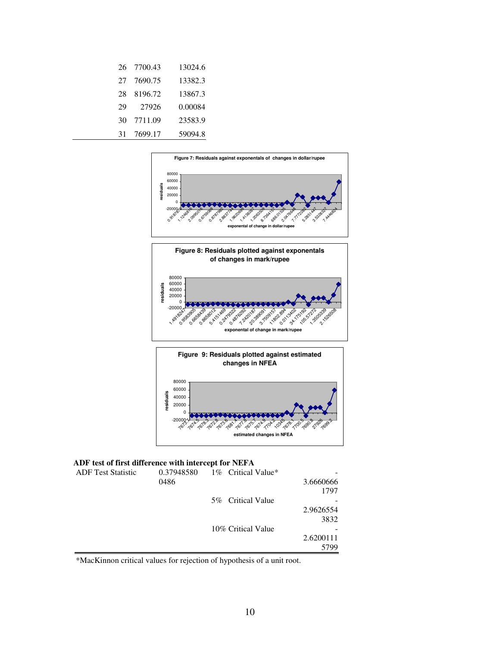|     | 26 7700.43 | 13024.6 |
|-----|------------|---------|
| 27. | 7690.75    | 13382.3 |
| 28  | 8196.72    | 13867.3 |
| 29  | 27926      | 0.00084 |
| 30  | 7711.09    | 23583.9 |
| 31  | 7699.17    | 59094.8 |





#### **ADF test of first difference with intercept for NEFA**

| <b>ADF</b> Test Statistic | 0.37948580 | 1\% Critical Value* |           |
|---------------------------|------------|---------------------|-----------|
|                           | 0486       |                     | 3.6660666 |
|                           |            |                     | 1797      |
|                           |            | 5% Critical Value   |           |
|                           |            |                     | 2.9626554 |
|                           |            |                     | 3832      |
|                           |            | 10% Critical Value  |           |
|                           |            |                     | 2.6200111 |
|                           |            |                     | 5799      |

\*MacKinnon critical values for rejection of hypothesis of a unit root.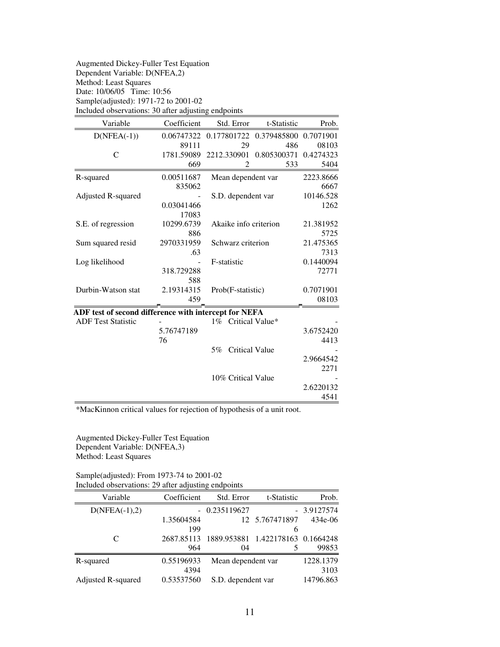| <b>Augmented Dickey-Fuller Test Equation</b>        |
|-----------------------------------------------------|
| Dependent Variable: D(NFEA,2)                       |
| Method: Least Squares                               |
| Date: 10/06/05 Time: 10:56                          |
| Sample(adjusted): 1971-72 to 2001-02                |
| Included observations: 30 after adjusting endpoints |

| Variable                                              | Coefficient | Std. Error                  | t-Statistic | Prob.     |
|-------------------------------------------------------|-------------|-----------------------------|-------------|-----------|
| $D(NFEA(-1))$                                         | 0.06747322  | 0.177801722                 | 0.379485800 | 0.7071901 |
|                                                       | 89111       | 29                          | 486         | 08103     |
| C                                                     | 1781.59089  | 2212.330901                 | 0.805300371 | 0.4274323 |
|                                                       | 669         | 2                           | 533         | 5404      |
| R-squared                                             | 0.00511687  | Mean dependent var          |             | 2223.8666 |
|                                                       | 835062      |                             |             | 6667      |
| Adjusted R-squared                                    |             | S.D. dependent var          |             | 10146.528 |
|                                                       | 0.03041466  |                             |             | 1262      |
|                                                       | 17083       |                             |             |           |
| S.E. of regression                                    | 10299.6739  | Akaike info criterion       |             | 21.381952 |
|                                                       | 886         |                             |             | 5725      |
| Sum squared resid                                     | 2970331959  | Schwarz criterion           |             | 21.475365 |
|                                                       | .63         |                             |             | 7313      |
| Log likelihood                                        |             | F-statistic                 |             | 0.1440094 |
|                                                       | 318.729288  |                             |             | 72771     |
|                                                       | 588         |                             |             |           |
| Durbin-Watson stat                                    | 2.19314315  | Prob(F-statistic)           |             | 0.7071901 |
|                                                       | 459         |                             |             | 08103     |
| ADF test of second difference with intercept for NEFA |             |                             |             |           |
| <b>ADF Test Statistic</b>                             |             | 1% Critical Value*          |             |           |
|                                                       | 5.76747189  |                             |             | 3.6752420 |
|                                                       | 76          |                             |             | 4413      |
|                                                       |             | <b>Critical Value</b><br>5% |             |           |
|                                                       |             |                             |             | 2.9664542 |
|                                                       |             |                             |             | 2271      |
|                                                       |             | 10% Critical Value          |             |           |
|                                                       |             |                             |             | 2.6220132 |
|                                                       |             |                             |             | 4541      |

\*MacKinnon critical values for rejection of hypothesis of a unit root.

Augmented Dickey-Fuller Test Equation Dependent Variable: D(NFEA,3) Method: Least Squares

Sample(adjusted): From 1973-74 to 2001-02 Included observations: 29 after adjusting endpoints

| Variable           | Coefficient | Std. Error         | t-Statistic                       | Prob.        |
|--------------------|-------------|--------------------|-----------------------------------|--------------|
| $D(NFEA(-1),2)$    |             | $-0.235119627$     |                                   | $-3.9127574$ |
|                    | 1.35604584  |                    | 12 5.767471897                    | 434e-06      |
|                    | 199         |                    | 6                                 |              |
| C                  | 2687.85113  |                    | 1889.953881 1.422178163 0.1664248 |              |
|                    | 964         | 04                 |                                   | 99853        |
| R-squared          | 0.55196933  | Mean dependent var |                                   | 1228.1379    |
|                    | 4394        |                    |                                   | 3103         |
| Adjusted R-squared | 0.53537560  | S.D. dependent var |                                   | 14796.863    |
|                    |             |                    |                                   |              |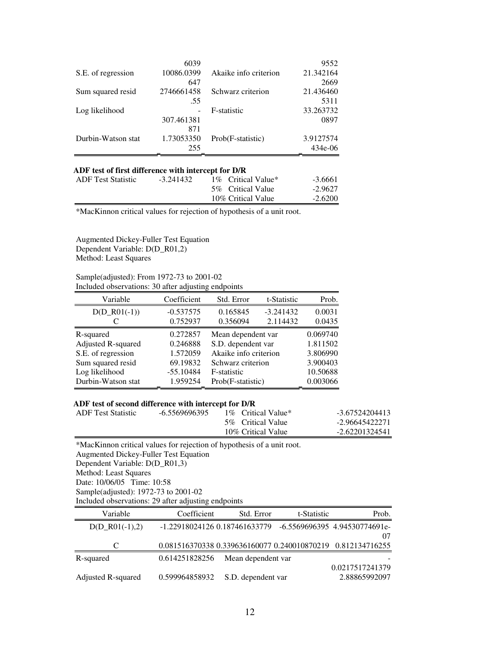|                    | 6039       |                       | 9552      |
|--------------------|------------|-----------------------|-----------|
| S.E. of regression | 10086.0399 | Akaike info criterion | 21.342164 |
|                    | 647        |                       | 2669      |
| Sum squared resid  | 2746661458 | Schwarz criterion     | 21.436460 |
|                    | .55        |                       | 5311      |
| Log likelihood     |            | F-statistic           | 33.263732 |
|                    | 307.461381 |                       | 0897      |
|                    | 871        |                       |           |
| Durbin-Watson stat | 1.73053350 | Prob(F-statistic)     | 3.9127574 |
|                    | 255        |                       | 434e-06   |

### **ADF test of first difference with intercept for D/R**

| <b>ADF</b> Test Statistic | $-3.241432$ | 1\% Critical Value* | -3.6661   |
|---------------------------|-------------|---------------------|-----------|
|                           |             | 5% Critical Value   | $-2.9627$ |
|                           |             | 10% Critical Value  | $-2.6200$ |

\*MacKinnon critical values for rejection of hypothesis of a unit root.

Augmented Dickey-Fuller Test Equation Dependent Variable: D(D\_R01,2) Method: Least Squares

Sample(adjusted): From 1972-73 to 2001-02 Included observations: 30 after adjusting endpoints

| Variable           | Coefficient | Std. Error            | t-Statistic | Prob.    |
|--------------------|-------------|-----------------------|-------------|----------|
| $D(D_R01(-1))$     | $-0.537575$ | 0.165845              | $-3.241432$ | 0.0031   |
|                    | 0.752937    | 0.356094              | 2.114432    | 0.0435   |
| R-squared          | 0.272857    | Mean dependent var    |             | 0.069740 |
| Adjusted R-squared | 0.246888    | S.D. dependent var    |             | 1.811502 |
| S.E. of regression | 1.572059    | Akaike info criterion |             | 3.806990 |
| Sum squared resid  | 69.19832    | Schwarz criterion     |             | 3.900403 |
| Log likelihood     | $-55.10484$ | F-statistic           |             | 10.50688 |
| Durbin-Watson stat | 1.959254    | Prob(F-statistic)     |             | 0.003066 |

## **ADF test of second difference with intercept for D/R**

| <b>ADF</b> Test Statistic | -6.5569696395 | 1\% Critical Value* | -3.67524204413 |
|---------------------------|---------------|---------------------|----------------|
|                           |               | 5\% Critical Value  | -2.96645422271 |
|                           |               | 10% Critical Value  | -2.62201324541 |

\*MacKinnon critical values for rejection of hypothesis of a unit root. Augmented Dickey-Fuller Test Equation Dependent Variable: D(D\_R01,3) Method: Least Squares Date: 10/06/05 Time: 10:58 Sample(adjusted): 1972-73 to 2001-02 Included observations: 29 after adjusting endpoints

| Variable           | Coefficient    | Std. Error                      | t-Statistic | Prob.                                                       |
|--------------------|----------------|---------------------------------|-------------|-------------------------------------------------------------|
| $D(D \ R01(-1),2)$ |                | -1.22918024126   0.187461633779 |             | -6.5569696395 4.94530774691e-                               |
|                    |                |                                 |             | $^{07}$                                                     |
|                    |                |                                 |             | 0.081516370338 0.339636160077 0.240010870219 0.812134716255 |
| R-squared          | 0.614251828256 | Mean dependent var              |             |                                                             |
|                    |                |                                 |             | 0.0217517241379                                             |
| Adjusted R-squared | 0.599964858932 | S.D. dependent var              |             | 2.88865992097                                               |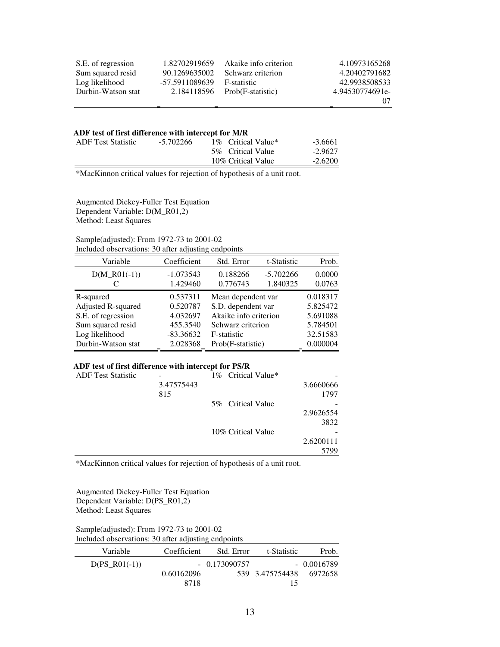| S.E. of regression | 1.82702919659  | Akaike info criterion           | 4.10973165268   |
|--------------------|----------------|---------------------------------|-----------------|
| Sum squared resid  | 90.1269635002  | Schwarz criterion               | 4.20402791682   |
| Log likelihood     | -57.5911089639 | F-statistic                     | 42.9938508533   |
| Durbin-Watson stat |                | $2.184118596$ Prob(F-statistic) | 4.94530774691e- |
|                    |                |                                 | 07              |

### **ADF test of first difference with intercept for M/R**

| <b>ADF</b> Test Statistic | $-5.702266$ | 1\% Critical Value*<br>5\% Critical Value<br>10% Critical Value | $-3.6661$<br>$-2.9627$<br>$-2.6200$ |
|---------------------------|-------------|-----------------------------------------------------------------|-------------------------------------|
|                           |             |                                                                 |                                     |

\*MacKinnon critical values for rejection of hypothesis of a unit root.

Augmented Dickey-Fuller Test Equation Dependent Variable: D(M\_R01,2) Method: Least Squares

### Sample(adjusted): From 1972-73 to 2001-02 Included observations: 30 after adjusting endpoints

| Variable           | Coefficient | Std. Error            | t-Statistic | Prob.    |
|--------------------|-------------|-----------------------|-------------|----------|
| $D(M_R01(-1))$     | $-1.073543$ | 0.188266              | $-5.702266$ | 0.0000   |
|                    | 1.429460    | 0.776743              | 1.840325    | 0.0763   |
| R-squared          | 0.537311    | Mean dependent var    |             | 0.018317 |
| Adjusted R-squared | 0.520787    | S.D. dependent var    |             | 5.825472 |
| S.E. of regression | 4.032697    | Akaike info criterion |             | 5.691088 |
| Sum squared resid  | 455.3540    | Schwarz criterion     |             | 5.784501 |
| Log likelihood     | $-83.36632$ | F-statistic           |             | 32.51583 |
| Durbin-Watson stat | 2.028368    | Prob(F-statistic)     |             | 0.000004 |

## **ADF test of first difference with intercept for PS/R**

| <b>ADF</b> Test Statistic |            | 1% Critical Value* |           |
|---------------------------|------------|--------------------|-----------|
|                           | 3.47575443 |                    | 3.6660666 |
|                           | 815        |                    | 1797      |
|                           |            | 5\% Critical Value |           |
|                           |            |                    | 2.9626554 |
|                           |            |                    | 3832      |
|                           |            | 10% Critical Value |           |
|                           |            |                    | 2.6200111 |
|                           |            |                    | 5799      |

\*MacKinnon critical values for rejection of hypothesis of a unit root.

Augmented Dickey-Fuller Test Equation Dependent Variable: D(PS\_R01,2) Method: Least Squares

Sample(adjusted): From 1972-73 to 2001-02 Included observations: 30 after adjusting endpoints

| Variable        | Coefficient | Std. Error     | t-Statistic     | Prob.        |
|-----------------|-------------|----------------|-----------------|--------------|
| $D(PS R01(-1))$ |             | $-0.173090757$ |                 | $-0.0016789$ |
|                 | 0.60162096  |                | 539 3.475754438 | 6972658      |
|                 | 8718        |                |                 |              |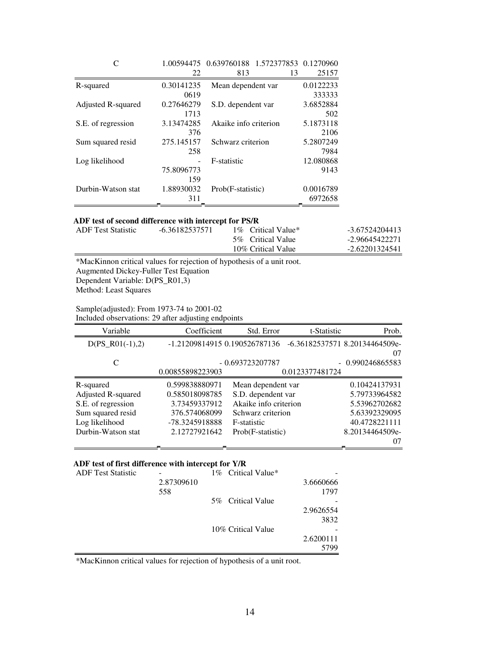|                    |            | 1.00594475  0.639760188  1.572377853  0.1270960 |    |           |
|--------------------|------------|-------------------------------------------------|----|-----------|
|                    | 22         | 813                                             | 13 | 25157     |
| R-squared          | 0.30141235 | Mean dependent var                              |    | 0.0122233 |
|                    | 0619       |                                                 |    | 333333    |
| Adjusted R-squared | 0.27646279 | S.D. dependent var                              |    | 3.6852884 |
|                    | 1713       |                                                 |    | 502       |
| S.E. of regression | 3.13474285 | Akaike info criterion                           |    | 5.1873118 |
|                    | 376        |                                                 |    | 2106      |
| Sum squared resid  | 275.145157 | Schwarz criterion                               |    | 5.2807249 |
|                    | 258        |                                                 |    | 7984      |
| Log likelihood     |            | F-statistic                                     |    | 12.080868 |
|                    | 75.8096773 |                                                 |    | 9143      |
|                    | 159        |                                                 |    |           |
| Durbin-Watson stat | 1.88930032 | Prob(F-statistic)                               |    | 0.0016789 |
|                    | 311        |                                                 |    | 6972658   |

#### **ADF test of second difference with intercept for PS/R**

| ADF Test Statistic | -6.36182537571 | 1\% Critical Value* | -3.67524204413 |
|--------------------|----------------|---------------------|----------------|
|                    |                | 5\% Critical Value  | -2.96645422271 |
|                    |                | 10% Critical Value  | -2.62201324541 |

\*MacKinnon critical values for rejection of hypothesis of a unit root. Augmented Dickey-Fuller Test Equation Dependent Variable: D(PS\_R01,3) Method: Least Squares

Sample(adjusted): From 1973-74 to 2001-02

Included observations: 29 after adjusting endpoints

| Variable           | Coefficient                   | Std. Error            | t-Statistic     | Prob.                          |
|--------------------|-------------------------------|-----------------------|-----------------|--------------------------------|
| $D(PS_R01(-1),2)$  | -1.21209814915 0.190526787136 |                       |                 | -6.36182537571 8.20134464509e- |
|                    |                               |                       |                 | 07                             |
| C                  |                               | $-0.693723207787$     |                 | $-0.990246865583$              |
|                    | 0.00855898223903              |                       | 0.0123377481724 |                                |
| R-squared          | 0.599838880971                | Mean dependent var    |                 | 0.10424137931                  |
| Adjusted R-squared | 0.585018098785                | S.D. dependent var    |                 | 5.79733964582                  |
| S.E. of regression | 3.73459337912                 | Akaike info criterion |                 | 5.53962702682                  |
| Sum squared resid  | 376.574068099                 | Schwarz criterion     |                 | 5.63392329095                  |
| Log likelihood     | -78.3245918888                | F-statistic           |                 | 40.4728221111                  |
| Durbin-Watson stat | 2.12727921642                 | Prob(F-statistic)     |                 | 8.20134464509e-                |
|                    |                               |                       |                 | 07                             |

## **ADF test of first difference with intercept for Y/R**

| <b>ADF</b> Test Statistic |            | 1\% Critical Value* |           |
|---------------------------|------------|---------------------|-----------|
|                           | 2.87309610 |                     | 3.6660666 |
|                           | 558        |                     | 1797      |
|                           |            | 5% Critical Value   |           |
|                           |            |                     | 2.9626554 |
|                           |            |                     | 3832      |
|                           |            | 10% Critical Value  |           |
|                           |            |                     | 2.6200111 |
|                           |            |                     | 5799      |

\*MacKinnon critical values for rejection of hypothesis of a unit root.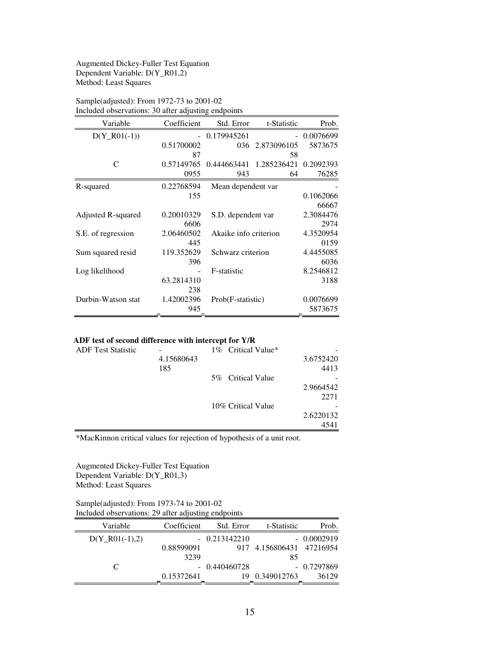#### Augmented Dickey-Fuller Test Equation Dependent Variable: D(Y\_R01,2) Method: Least Squares

| Variable           | Coefficient | Std. Error            | t-Statistic | Prob.     |
|--------------------|-------------|-----------------------|-------------|-----------|
| $D(Y_R01(-1))$     |             | 0.179945261           | $\sim$      | 0.0076699 |
|                    | 0.51700002  | 036                   | 2.873096105 | 5873675   |
|                    | 87          |                       | 58          |           |
| C                  | 0.57149765  | 0.444663441           | 1.285236421 | 0.2092393 |
|                    | 0955        | 943                   | 64          | 76285     |
| R-squared          | 0.22768594  | Mean dependent var    |             |           |
|                    | 155         |                       |             | 0.1062066 |
|                    |             |                       |             | 66667     |
| Adjusted R-squared | 0.20010329  | S.D. dependent var    |             | 2.3084476 |
|                    | 6606        |                       |             | 2974      |
| S.E. of regression | 2.06460502  | Akaike info criterion |             | 4.3520954 |
|                    | 445         |                       |             | 0159      |
| Sum squared resid  | 119.352629  | Schwarz criterion     |             | 4.4455085 |
|                    | 396         |                       |             | 6036      |
| Log likelihood     |             | F-statistic           |             | 8.2546812 |
|                    | 63.2814310  |                       |             | 3188      |
|                    | 238         |                       |             |           |
| Durbin-Watson stat | 1.42002396  | Prob(F-statistic)     |             | 0.0076699 |
|                    | 945         |                       |             | 5873675   |

## Sample(adjusted): From 1972-73 to 2001-02 Included observations: 30 after adjusting endpoints

#### **ADF test of second difference with intercept for Y/R**

| <b>ADF</b> Test Statistic |            | 1% Critical Value* |           |
|---------------------------|------------|--------------------|-----------|
|                           | 4.15680643 |                    | 3.6752420 |
|                           | 185        |                    | 4413      |
|                           |            | 5\% Critical Value |           |
|                           |            |                    | 2.9664542 |
|                           |            |                    | 2271      |
|                           |            | 10% Critical Value |           |
|                           |            |                    | 2.6220132 |
|                           |            |                    | 4541      |

\*MacKinnon critical values for rejection of hypothesis of a unit root.

Augmented Dickey-Fuller Test Equation Dependent Variable: D(Y\_R01,3) Method: Least Squares

### Sample(adjusted): From 1973-74 to 2001-02 Included observations: 29 after adjusting endpoints

| Variable         | Coefficient | Std. Error     | t-Statistic              | Prob.        |
|------------------|-------------|----------------|--------------------------|--------------|
| $D(Y_R01(-1),2)$ |             | $-0.213142210$ |                          | $-0.0002919$ |
|                  | 0.88599091  |                | 917 4.156806431 47216954 |              |
|                  | 3239        |                | 85                       |              |
| C                |             | $-0.440460728$ |                          | $-0.7297869$ |
|                  | 0.15372641  |                | 0.349012763              | 36129        |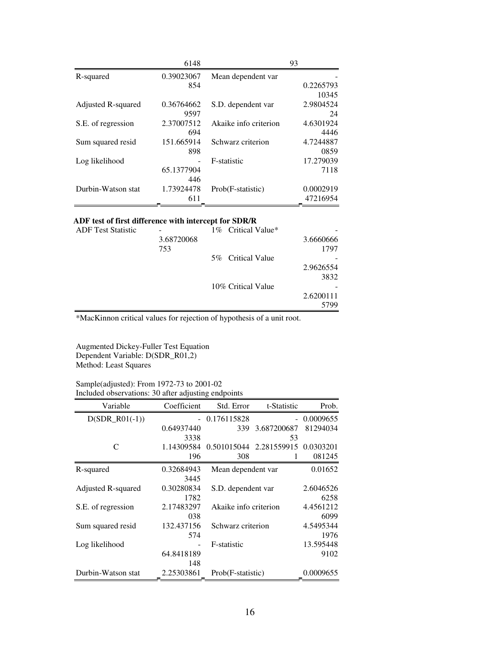|                    | 6148       |                       | 93        |
|--------------------|------------|-----------------------|-----------|
| R-squared          | 0.39023067 | Mean dependent var    |           |
|                    | 854        |                       | 0.2265793 |
|                    |            |                       | 10345     |
| Adjusted R-squared | 0.36764662 | S.D. dependent var    | 2.9804524 |
|                    | 9597       |                       | 24        |
| S.E. of regression | 2.37007512 | Akaike info criterion | 4.6301924 |
|                    | 694        |                       | 4446      |
| Sum squared resid  | 151.665914 | Schwarz criterion     | 4.7244887 |
|                    | 898        |                       | 0859      |
| Log likelihood     |            | F-statistic           | 17.279039 |
|                    | 65.1377904 |                       | 7118      |
|                    | 446        |                       |           |
| Durbin-Watson stat | 1.73924478 | Prob(F-statistic)     | 0.0002919 |
|                    | 611        |                       | 47216954  |

## **ADF test of first difference with intercept for SDR/R**

| <b>ADF</b> Test Statistic |            | 1% Critical Value* |           |
|---------------------------|------------|--------------------|-----------|
|                           | 3.68720068 |                    | 3.6660666 |
|                           | 753        |                    | 1797      |
|                           |            | 5% Critical Value  |           |
|                           |            |                    | 2.9626554 |
|                           |            |                    | 3832      |
|                           |            | 10% Critical Value |           |
|                           |            |                    | 2.6200111 |
|                           |            |                    | 5799      |

\*MacKinnon critical values for rejection of hypothesis of a unit root.

Augmented Dickey-Fuller Test Equation Dependent Variable: D(SDR\_R01,2) Method: Least Squares

#### Sample(adjusted): From 1972-73 to 2001-02 Included observations: 30 after adjusting endpoints

| Variable           | Coefficient | Std. Error            | t-Statistic             | Prob.     |
|--------------------|-------------|-----------------------|-------------------------|-----------|
| $D(SDR_R01(-1))$   |             | - 0.176115828         | $\sim$                  | 0.0009655 |
|                    | 0.64937440  | 339                   | 3.687200687             | 81294034  |
|                    | 3338        |                       | 53                      |           |
| C                  | 1.14309584  |                       | 0.501015044 2.281559915 | 0.0303201 |
|                    | 196         | 308                   |                         | 081245    |
| R-squared          | 0.32684943  | Mean dependent var    |                         | 0.01652   |
|                    | 3445        |                       |                         |           |
| Adjusted R-squared | 0.30280834  | S.D. dependent var    |                         | 2.6046526 |
|                    | 1782        |                       |                         | 6258      |
| S.E. of regression | 2.17483297  | Akaike info criterion |                         | 4.4561212 |
|                    | 038         |                       |                         | 6099      |
| Sum squared resid  | 132.437156  | Schwarz criterion     |                         | 4.5495344 |
|                    | 574         |                       |                         | 1976      |
| Log likelihood     |             | F-statistic           |                         | 13.595448 |
|                    | 64.8418189  |                       |                         | 9102      |
|                    | 148         |                       |                         |           |
| Durbin-Watson stat | 2.25303861  | Prob(F-statistic)     |                         | 0.0009655 |